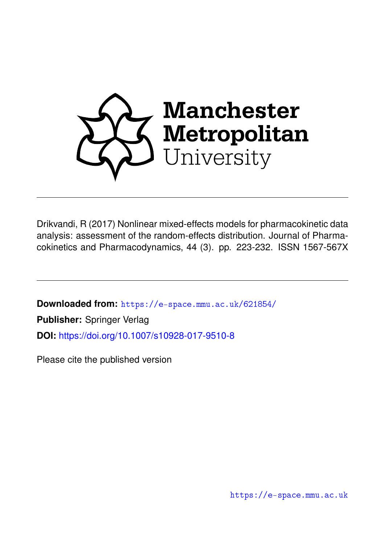

Drikvandi, R (2017) Nonlinear mixed-effects models for pharmacokinetic data analysis: assessment of the random-effects distribution. Journal of Pharmacokinetics and Pharmacodynamics, 44 (3). pp. 223-232. ISSN 1567-567X

**Downloaded from:** <https://e-space.mmu.ac.uk/621854/> **Publisher:** Springer Verlag **DOI:** <https://doi.org/10.1007/s10928-017-9510-8>

Please cite the published version

<https://e-space.mmu.ac.uk>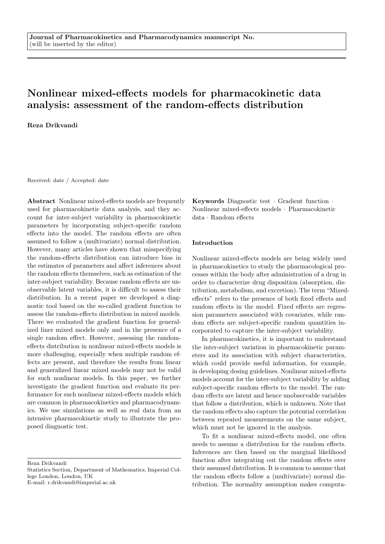# Nonlinear mixed-effects models for pharmacokinetic data analysis: assessment of the random-effects distribution

Reza Drikvandi

Received: date / Accepted: date

Abstract Nonlinear mixed-effects models are frequently used for pharmacokinetic data analysis, and they account for inter-subject variability in pharmacokinetic parameters by incorporating subject-specific random effects into the model. The random effects are often assumed to follow a (multivariate) normal distribution. However, many articles have shown that misspecifying the random-effects distribution can introduce bias in the estimates of parameters and affect inferences about the random effects themselves, such as estimation of the inter-subject variability. Because random effects are unobservable latent variables, it is difficult to assess their distribution. In a recent paper we developed a diagnostic tool based on the so-called gradient function to assess the random-effects distribution in mixed models. There we evaluated the gradient function for generalized liner mixed models only and in the presence of a single random effect. However, assessing the randomeffects distribution in nonlinear mixed-effects models is more challenging, especially when multiple random effects are present, and therefore the results from linear and generalized linear mixed models may not be valid for such nonlinear models. In this paper, we further investigate the gradient function and evaluate its performance for such nonlinear mixed-effects models which are common in pharmacokinetics and pharmacodynamics. We use simulations as well as real data from an intensive pharmacokinetic study to illustrate the proposed diagnostic test.

Reza Drikvandi

Statistics Section, Department of Mathematics, Imperial College London, London, UK

E-mail: r.drikvandi@imperial.ac.uk

Keywords Diagnostic test · Gradient function · Nonlinear mixed-effects models · Pharmacokinetic data · Random effects

## Introduction

Nonlinear mixed-effects models are being widely used in pharmacokinetics to study the pharmacological processes within the body after administration of a drug in order to characterize drug disposition (absorption, distribution, metabolism, and excretion). The term "Mixedeffects" refers to the presence of both fixed effects and random effects in the model. Fixed effects are regression parameters associated with covariates, while random effects are subject-specific random quantities incorporated to capture the inter-subject variability.

In pharmacokinetics, it is important to understand the inter-subject variation in pharmacokinetic parameters and its association with subject characteristics, which could provide useful information, for example, in developing dosing guidelines. Nonlinear mixed-effects models account for the inter-subject variability by adding subject-specific random effects to the model. The random effects are latent and hence unobservable variables that follow a distribution, which is unknown. Note that the random effects also capture the potential correlation between repeated measurements on the same subject, which must not be ignored in the analysis.

To fit a nonlinear mixed-effects model, one often needs to assume a distribution for the random effects. Inferences are then based on the marginal likelihood function after integrating out the random effects over their assumed distribution. It is common to assume that the random effects follow a (multivariate) normal distribution. The normality assumption makes computa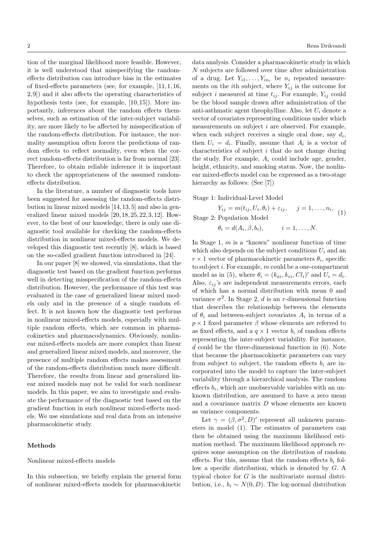tion of the marginal likelihood more feasible. However, it is well understood that misspecifying the randomeffects distribution can introduce bias in the estimates of fixed-effects parameters (see, for example, [11, 1, 16, 2, 9]) and it also affects the operating characteristics of hypothesis tests (see, for example, [10, 15]). More importantly, inferences about the random effects themselves, such as estimation of the inter-subject variability, are more likely to be affected by misspecification of the random-effects distribution. For instance, the normality assumption often forces the predictions of random effects to reflect normality, even when the correct random-effects distribution is far from normal [23]. Therefore, to obtain reliable inference it is important to check the appropriateness of the assumed randomeffects distribution.

In the literature, a number of diagnostic tools have been suggested for assessing the random-effects distribution in linear mixed models [14, 13, 5] and also in generalized linear mixed models [20, 18, 25, 22, 3, 12]. However, to the best of our knowledge, there is only one diagnostic tool available for checking the random-effects distribution in nonlinear mixed-effects models. We developed this diagnostic test recently [8], which is based on the so-called gradient function introduced in [24].

In our paper [8] we showed, via simulations, that the diagnostic test based on the gradient function performs well in detecting misspecification of the random-effects distribution. However, the performance of this test was evaluated in the case of generalized linear mixed models only and in the presence of a single random effect. It is not known how the diagnostic test performs in nonlinear mixed-effects models, especially with multiple random effects, which are common in pharmacokinetics and pharmacodynamics. Obviously, nonlinear mixed-effects models are more complex than linear and generalized linear mixed models, and moreover, the presence of multiple random effects makes assessment of the random-effects distribution much more difficult. Therefore, the results from linear and generalized linear mixed models may not be valid for such nonlinear models. In this paper, we aim to investigate and evaluate the performance of the diagnostic test based on the gradient function in such nonlinear mixed-effects models. We use simulations and real data from an intensive pharmacokinetic study.

#### Methods

## Nonlinear mixed-effects models

In this subsection, we briefly explain the general form of nonlinear mixed-effects models for pharmacokinetic

data analysis. Consider a pharmacokinetic study in which N subjects are followed over time after administration of a drug. Let  $Y_{i1}, \ldots, Y_{in_i}$  be  $n_i$  repeated measurements on the *i*<sup>th</sup> subject, where  $Y_{ij}$  is the outcome for subject i measured at time  $t_{ij}$ . For example,  $Y_{ij}$  could be the blood sample drawn after administration of the anti-asthmatic agent theophylline. Also, let  $U_i$  denote a vector of covariates representing conditions under which measurements on subject  $i$  are observed. For example, when each subject receives a single oral dose, say  $d_i$ , then  $U_i = d_i$ . Finally, assume that  $A_i$  is a vector of characteristics of subject  $i$  that do not change during the study. For example,  $A_i$  could include age, gender, height, ethnicity, and smoking status. Now, the nonlinear mixed-effects model can be expressed as a two-stage hierarchy as follows: (See [7])

## Stage 1: Individual-Level Model

 $Y_{ij} = m(t_{ij}, U_i, \theta_i) + \varepsilon_{ij}, \quad j = 1, \ldots, n_i,$ (1) Stage 2: Population Model

> $\theta_i = d(A_i, \beta, b_i),$  $i = 1, \ldots, N.$

In Stage 1,  $m$  is a "known" nonlinear function of time which also depends on the subject conditions  $U_i$  and an  $r \times 1$  vector of pharmacokinetic parameters  $\theta_i$ , specific to subject  $i$ . For example,  $m$  could be a one-compartment model as in (5), where  $\theta_i = (k_{ai}, k_{ei}, Cl_i)'$  and  $U_i = d_i$ . Also,  $\varepsilon_{ij}$ 's are independent measurements errors, each of which has a normal distribution with mean 0 and variance  $\sigma^2$ . In Stage 2, d is an r-dimensional function that describes the relationship between the elements of  $\theta_i$  and between-subject covariates  $A_i$  in terms of a  $p \times 1$  fixed parameter  $\beta$  whose elements are referred to as fixed effects, and a  $q \times 1$  vector  $b_i$  of random effects representing the inter-subject variability. For instance, d could be the three-dimensional function in  $(6)$ . Note that because the pharmacokinetic parameters can vary from subject to subject, the random effects  $b_i$  are incorporated into the model to capture the inter-subject variability through a hierarchical analysis. The random effects  $b_i$ , which are unobservable variables with an unknown distribution, are assumed to have a zero mean and a covariance matrix D whose elements are known as variance components.

Let  $\gamma = (\beta, \sigma^2, D)'$  represent all unknown parameters in model (1). The estimates of parameters can then be obtained using the maximum likelihood estimation method. The maximum likelihood approach requires some assumption on the distribution of random effects. For this, assume that the random effects  $b_i$  follow a specific distribution, which is denoted by  $G$ . A typical choice for G is the multivariate normal distribution, i.e.,  $b_i \sim N(0, D)$ . The log-normal distribution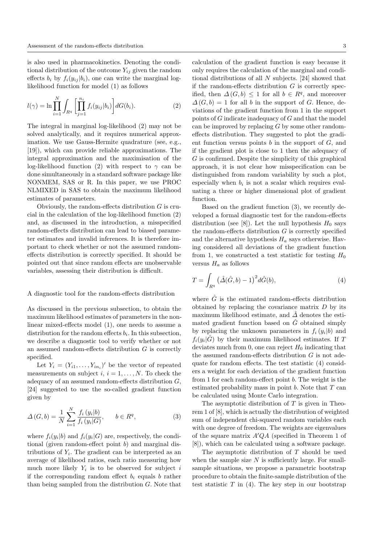is also used in pharmacokinetics. Denoting the conditional distribution of the outcome  $Y_{ij}$  given the random effects  $b_i$  by  $f_i(y_{ij} | b_i)$ , one can write the marginal loglikelihood function for model (1) as follows

$$
l(\gamma) = \ln \prod_{i=1}^{N} \int_{R^q} \left[ \prod_{j=1}^{n_i} f_i(y_{ij}|b_i) \right] dG(b_i).
$$
 (2)

The integral in marginal log-likelihood (2) may not be solved analytically, and it requires numerical approximation. We use Gauss-Hermite quadrature (see, e.g., [19]), which can provide reliable approximations. The integral approximation and the maximisation of the log-likelihood function (2) with respect to  $\gamma$  can be done simultaneously in a standard software package like NONMEM, SAS or R. In this paper, we use PROC NLMIXED in SAS to obtain the maximum likelihood estimates of parameters.

Obviously, the random-effects distribution  $G$  is crucial in the calculation of the log-likelihood function (2) and, as discussed in the introduction, a misspecified random-effects distribution can lead to biased parameter estimates and invalid inferences. It is therefore important to check whether or not the assumed randomeffects distribution is correctly specified. It should be pointed out that since random effects are unobservable variables, assessing their distribution is difficult.

#### A diagnostic tool for the random-effects distribution

As discussed in the previous subsection, to obtain the maximum likelihood estimates of parameters in the nonlinear mixed-effects model (1), one needs to assume a distribution for the random effects  $b_i$ . In this subsection, we describe a diagnostic tool to verify whether or not an assumed random-effects distribution  $G$  is correctly specified.

Let  $Y_i = (Y_{i1}, \ldots, Y_{in_i})'$  be the vector of repeated measurements on subject  $i, i = 1, \ldots, N$ . To check the adequacy of an assumed random-effects distribution  $G$ , [24] suggested to use the so-called gradient function given by

$$
\Delta(G, b) = \frac{1}{N} \sum_{i=1}^{N} \frac{f_i(y_i|b)}{f_i(y_i|G)}, \qquad b \in R^q,
$$
\n(3)

where  $f_i(y_i|b)$  and  $f_i(y_i|G)$  are, respectively, the conditional (given random-effect point b) and marginal distributions of  $Y_i$ . The gradient can be interpreted as an average of likelihood ratios, each ratio measuring how much more likely  $Y_i$  is to be observed for subject i if the corresponding random effect  $b_i$  equals b rather than being sampled from the distribution G. Note that

calculation of the gradient function is easy because it only requires the calculation of the marginal and conditional distributions of all N subjects. [24] showed that if the random-effects distribution  $G$  is correctly specified, then  $\Delta(G, b) \leq 1$  for all  $b \in R^q$ , and moreover  $\Delta(G, b) = 1$  for all b in the support of G. Hence, deviations of the gradient function from 1 in the support points of  $G$  indicate inadequacy of  $G$  and that the model can be improved by replacing  $G$  by some other randomeffects distribution. They suggested to plot the gradient function versus points b in the support of  $G$ , and if the gradient plot is close to 1 then the adequacy of  $G$  is confirmed. Despite the simplicity of this graphical approach, it is not clear how misspecification can be distinguished from random variability by such a plot, especially when  $b_i$  is not a scalar which requires evaluating a three or higher dimensional plot of gradient function.

Based on the gradient function (3), we recently developed a formal diagnostic test for the random-effects distribution (see [8]). Let the null hypothesis  $H_0$  says the random-effects distribution  $G$  is correctly specified and the alternative hypothesis  $H_a$  says otherwise. Having considered all deviations of the gradient function from 1, we constructed a test statistic for testing  $H_0$ versus  $H_a$  as follows

$$
T = \int_{R^q} \left(\hat{\Delta}(\hat{G}, b) - 1\right)^2 d\hat{G}(b),\tag{4}
$$

where  $\hat{G}$  is the estimated random-effects distribution obtained by replacing the covariance matrix  $D$  by its maximum likelihood estimate, and  $\hat{\Delta}$  denotes the estimated gradient function based on  $\hat{G}$  obtained simply by replacing the unknown parameters in  $f_i(y_i|b)$  and  $f_i(y_i|\hat{G})$  by their maximum likelihood estimates. If T deviates much from 0, one can reject  $H_0$  indicating that the assumed random-effects distribution  $G$  is not adequate for random effects. The test statistic (4) considers a weight for each deviation of the gradient function from 1 for each random-effect point  $b$ . The weight is the estimated probability mass in point  $b$ . Note that  $T$  can be calculated using Monte Carlo integration.

The asymptotic distribution of  $T$  is given in Theorem 1 of [8], which is actually the distribution of weighted sum of independent chi-squared random variables each with one degree of freedom. The weights are eigenvalues of the square matrix  $A'QA$  (specified in Theorem 1 of [8]), which can be calculated using a software package.

The asymptotic distribution of  $T$  should be used when the sample size  $N$  is sufficiently large. For smallsample situations, we propose a parametric bootstrap procedure to obtain the finite-sample distribution of the test statistic  $T$  in (4). The key step in our bootstrap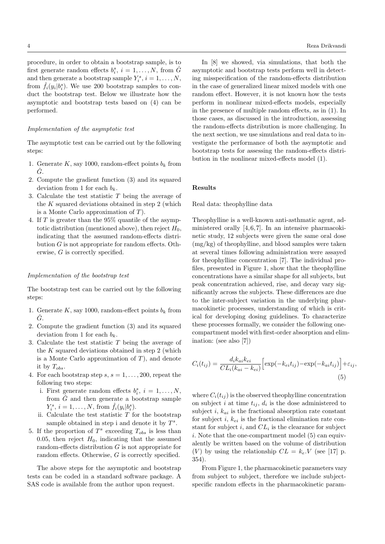procedure, in order to obtain a bootstrap sample, is to first generate random effects  $b_i^s$ ,  $i = 1, ..., N$ , from  $\hat{G}$ and then generate a bootstrap sample  $Y_i^s, i = 1, \ldots, N$ , from  $\hat{f}_i(y_i|b_i^s)$ . We use 200 bootstrap samples to conduct the bootstrap test. Below we illustrate how the asymptotic and bootstrap tests based on (4) can be performed.

#### Implementation of the asymptotic test

The asymptotic test can be carried out by the following steps:

- 1. Generate  $K$ , say 1000, random-effect points  $b_k$  from  $\overline{G}$ .
- 2. Compute the gradient function (3) and its squared deviation from 1 for each  $b_k$ .
- 3. Calculate the test statistic  $T$  being the average of the K squared deviations obtained in step 2 (which is a Monte Carlo approximation of  $T$ ).
- 4. If T is greater than the 95% quantile of the asymptotic distribution (mentioned above), then reject  $H_0$ , indicating that the assumed random-effects distribution G is not appropriate for random effects. Otherwise, G is correctly specified.

### Implementation of the bootstrap test

The bootstrap test can be carried out by the following steps:

- 1. Generate K, say 1000, random-effect points  $b_k$  from  $G$ .
- 2. Compute the gradient function (3) and its squared deviation from 1 for each  $b_k$ .
- 3. Calculate the test statistic  $T$  being the average of the  $K$  squared deviations obtained in step 2 (which is a Monte Carlo approximation of  $T$ ), and denote it by  $T_{obs}$ .
- 4. For each bootstrap step  $s, s = 1, \ldots, 200$ , repeat the following two steps:
	- i. First generate random effects  $b_i^s$ ,  $i = 1, ..., N$ , from  $\tilde{G}$  and then generate a bootstrap sample  $Y_i^s, i = 1, ..., N, \text{ from } \hat{f}_i(y_i | b_i^s).$
	- ii. Calculate the test statistic  $T$  for the bootstrap sample obtained in step i and denote it by  $T^s$ .
- 5. If the proportion of  $T^s$  exceeding  $T_{obs}$  is less than 0.05, then reject  $H_0$ , indicating that the assumed random-effects distribution G is not appropriate for random effects. Otherwise, G is correctly specified.

The above steps for the asymptotic and bootstrap tests can be coded in a standard software package. A SAS code is available from the author upon request.

In [8] we showed, via simulations, that both the asymptotic and bootstrap tests perform well in detecting misspecification of the random-effects distribution in the case of generalized linear mixed models with one random effect. However, it is not known how the tests perform in nonlinear mixed-effects models, especially in the presence of multiple random effects, as in (1). In those cases, as discussed in the introduction, assessing the random-effects distribution is more challenging. In the next section, we use simulations and real data to investigate the performance of both the asymptotic and bootstrap tests for assessing the random-effects distribution in the nonlinear mixed-effects model (1).

#### Results

#### Real data: theophylline data

Theophylline is a well-known anti-asthmatic agent, administered orally  $[4, 6, 7]$ . In an intensive pharmacokinetic study, 12 subjects were given the same oral dose (mg/kg) of theophylline, and blood samples were taken at several times following administration were assayed for theophylline concentration [7]. The individual profiles, presented in Figure 1, show that the theophylline concentrations have a similar shape for all subjects, but peak concentration achieved, rise, and decay vary significantly across the subjects. These differences are due to the inter-subject variation in the underlying pharmacokinetic processes, understanding of which is critical for developing dosing guidelines. To characterize these processes formally, we consider the following onecompartment model with first-order absorption and elimination: (see also [7])

$$
C_i(t_{ij}) = \frac{d_i k_{ai} k_{ei}}{CL_i(k_{ai} - k_{ei})} \Big[ \exp(-k_{ei} t_{ij}) - \exp(-k_{ai} t_{ij}) \Big] + \varepsilon_{ij},\tag{5}
$$

where  $C_i(t_{ij})$  is the observed theophylline concentration on subject i at time  $t_{ij}$ ,  $d_i$  is the dose administered to subject i,  $k_{ai}$  is the fractional absorption rate constant for subject i,  $k_{ei}$  is the fractional elimination rate constant for subject  $i$ , and  $CL<sub>i</sub>$  is the clearance for subject i. Note that the one-compartment model (5) can equivalently be written based on the volume of distribution (V) by using the relationship  $CL = k_e$ . V (see [17] p. 354).

From Figure 1, the pharmacokinetic parameters vary from subject to subject, therefore we include subjectspecific random effects in the pharmacokinetic param-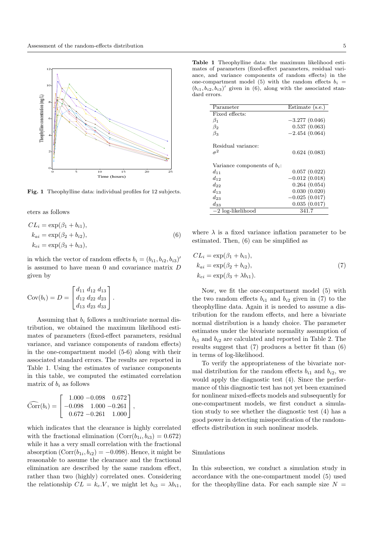

Fig. 1 Theophylline data: individual profiles for 12 subjects.

eters as follows

$$
CLi = \exp(\beta_1 + b_{i1}),
$$
  
\n
$$
k_{ai} = \exp(\beta_2 + b_{i2}),
$$
  
\n
$$
k_{ei} = \exp(\beta_3 + b_{i3}),
$$
  
\n(6)

in which the vector of random effects  $b_i = (b_{i1}, b_{i2}, b_{i3})'$ is assumed to have mean 0 and covariance matrix D given by

$$
Cov(b_i) = D = \begin{bmatrix} d_{11} & d_{12} & d_{13} \\ d_{12} & d_{22} & d_{23} \\ d_{13} & d_{23} & d_{33} \end{bmatrix}.
$$

Assuming that  $b_i$  follows a multivariate normal distribution, we obtained the maximum likelihood estimates of parameters (fixed-effect parameters, residual variance, and variance components of random effects) in the one-compartment model (5-6) along with their associated standard errors. The results are reported in Table 1. Using the estimates of variance components in this table, we computed the estimated correlation matrix of  $b_i$  as follows

$$
\widehat{\text{Corr}}(b_i) = \begin{bmatrix} 1.000 - 0.098 & 0.672 \\ -0.098 & 1.000 - 0.261 \\ 0.672 - 0.261 & 1.000 \end{bmatrix},
$$

which indicates that the clearance is highly correlated with the fractional elimination  $(Corr(b_{1i}, b_{i3}) = 0.672)$ while it has a very small correlation with the fractional absorption  $(Corr(b_{1i}, b_{i2}) = -0.098)$ . Hence, it might be reasonable to assume the clearance and the fractional elimination are described by the same random effect, rather than two (highly) correlated ones. Considering the relationship  $CL = k_e.V$ , we might let  $b_{i3} = \lambda b_{i1}$ ,

Table 1 Theophylline data: the maximum likelihood estimates of parameters (fixed-effect parameters, residual variance, and variance components of random effects) in the one-compartment model (5) with the random effects  $b_i =$  $(b_{i1}, b_{i2}, b_{i3})'$  given in (6), along with the associated standard errors.

| Parameter                      | $Estimate$ (s.e.) |
|--------------------------------|-------------------|
|                                |                   |
| Fixed effects:                 |                   |
| $\beta_1$                      | $-3.277(0.046)$   |
| $\beta_2$                      | 0.537(0.063)      |
| $\beta_3$                      | $-2.454(0.064)$   |
| Residual variance:             |                   |
| $\sigma^2$                     | 0.624(0.083)      |
| Variance components of $b_i$ : |                   |
| $d_{11}$                       | 0.057(0.022)      |
| $d_{12}$                       | $-0.012(0.018)$   |
| $d_{22}$                       | 0.264(0.054)      |
| $d_{1,3}$                      | 0.030(0.020)      |
| $d_{23}$                       | $-0.025(0.017)$   |
| $d_{33}$                       | 0.035(0.017)      |
| $-2$ log-likelihood            | 341.7             |

where  $\lambda$  is a fixed variance inflation parameter to be estimated. Then, (6) can be simplified as

$$
CLi = \exp(\beta_1 + b_{i1}),
$$
  
\n
$$
k_{ai} = \exp(\beta_2 + b_{i2}),
$$
  
\n
$$
k_{ei} = \exp(\beta_3 + \lambda b_{i1}).
$$
\n(7)

Now, we fit the one-compartment model (5) with the two random effects  $b_{i1}$  and  $b_{i2}$  given in (7) to the theophylline data. Again it is needed to assume a distribution for the random effects, and here a bivariate normal distribution is a handy choice. The parameter estimates under the bivariate normality assumption of  $b_{i1}$  and  $b_{i2}$  are calculated and reported in Table 2. The results suggest that (7) produces a better fit than (6) in terms of log-likelihood.

To verify the appropriateness of the bivariate normal distribution for the random effects  $b_{i1}$  and  $b_{i2}$ , we would apply the diagnostic test (4). Since the performance of this diagnostic test has not yet been examined for nonlinear mixed-effects models and subsequently for one-compartment models, we first conduct a simulation study to see whether the diagnostic test (4) has a good power in detecting misspecification of the randomeffects distribution in such nonlinear models.

#### Simulations

In this subsection, we conduct a simulation study in accordance with the one-compartment model (5) used for the theophylline data. For each sample size  $N =$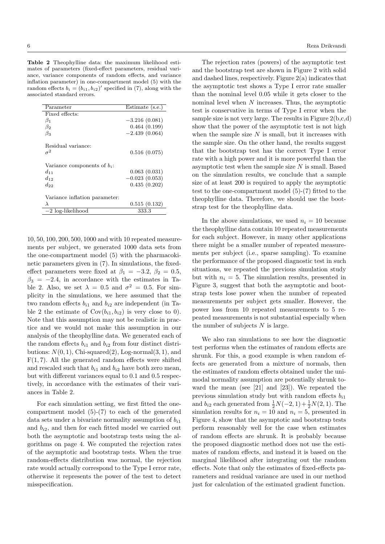Table 2 Theophylline data: the maximum likelihood estimates of parameters (fixed-effect parameters, residual variance, variance components of random effects, and variance inflation parameter) in one-compartment model (5) with the random effects  $b_i = (b_{i1}, b_{i2})'$  specified in (7), along with the associated standard errors.

| Estimate (s.e.) |
|-----------------|
|                 |
| $-3.216(0.081)$ |
| 0.464(0.199)    |
| $-2.439(0.064)$ |
|                 |
| 0.516(0.075)    |
|                 |
| 0.063(0.031)    |
| $-0.023(0.053)$ |
| 0.435(0.202)    |
|                 |
| 0.515(0.132)    |
| 333.3           |
|                 |

10, 50, 100, 200, 500, 1000 and with 10 repeated measurements per subject, we generated 1000 data sets from the one-compartment model (5) with the pharmacokinetic parameters given in (7). In simulations, the fixedeffect parameters were fixed at  $\beta_1 = -3.2, \beta_2 = 0.5,$  $\beta_3 = -2.4$ , in accordance with the estimates in Table 2. Also, we set  $\lambda = 0.5$  and  $\sigma^2 = 0.5$ . For simplicity in the simulations, we here assumed that the two random effects  $b_{i1}$  and  $b_{i2}$  are independent (in Table 2 the estimate of  $Cov(b_{i1}, b_{i2})$  is very close to 0). Note that this assumption may not be realistic in practice and we would not make this assumption in our analysis of the theophylline data. We generated each of the random effects  $b_{i1}$  and  $b_{i2}$  from four distributions:  $N(0, 1)$ , Chi-squared $(2)$ , Log-normal $(3, 1)$ , and  $F(1, 7)$ . All the generated random effects were shifted and rescaled such that  $b_{i1}$  and  $b_{i2}$  have both zero mean, but with different variances equal to 0.1 and 0.5 respectively, in accordance with the estimates of their variances in Table 2.

For each simulation setting, we first fitted the onecompartment model (5)-(7) to each of the generated data sets under a bivariate normality assumption of  $b_{i1}$ and  $b_{i2}$ , and then for each fitted model we carried out both the asymptotic and bootstrap tests using the algorithms on page 4. We computed the rejection rates of the asymptotic and bootstrap tests. When the true random-effects distribution was normal, the rejection rate would actually correspond to the Type I error rate, otherwise it represents the power of the test to detect misspecification.

The rejection rates (powers) of the asymptotic test and the bootstrap test are shown in Figure 2 with solid and dashed lines, respectively. Figure 2(a) indicates that the asymptotic test shows a Type I error rate smaller than the nominal level 0.05 while it gets closer to the nominal level when  $N$  increases. Thus, the asymptotic test is conservative in terms of Type I error when the sample size is not very large. The results in Figure  $2(b,c,d)$ show that the power of the asymptotic test is not high when the sample size  $N$  is small, but it increases with the sample size. On the other hand, the results suggest that the bootstrap test has the correct Type I error rate with a high power and it is more powerful than the asymptotic test when the sample size  $N$  is small. Based on the simulation results, we conclude that a sample size of at least 200 is required to apply the asymptotic test to the one-compartment model (5)-(7) fitted to the theophylline data. Therefore, we should use the bootstrap test for the theophylline data.

In the above simulations, we used  $n_i = 10$  because the theophylline data contain 10 repeated measurements for each subject. However, in many other applications there might be a smaller number of repeated measurements per subject (i.e., sparse sampling). To examine the performance of the proposed diagnostic test in such situations, we repeated the previous simulation study but with  $n_i = 5$ . The simulation results, presented in Figure 3, suggest that both the asymptotic and bootstrap tests lose power when the number of repeated measurements per subject gets smaller. However, the power loss from 10 repeated measurements to 5 repeated measurements is not substantial especially when the number of subjects  $N$  is large.

We also ran simulations to see how the diagnostic test performs when the estimates of random effects are shrunk. For this, a good example is when random effects are generated from a mixture of normals, then the estimates of random effects obtained under the unimodal normality assumption are potentially shrunk toward the mean (see [21] and [23]). We repeated the previous simulation study but with random effects  $b_{i1}$ and  $b_{i2}$  each generated from  $\frac{1}{2}N(-2, 1)+\frac{1}{2}N(2, 1)$ . The simulation results for  $n_i = 10$  and  $n_i = 5$ , presented in Figure 4, show that the asymptotic and bootstrap tests perform reasonably well for the case when estimates of random effects are shrunk. It is probably because the proposed diagnostic method does not use the estimates of random effects, and instead it is based on the marginal likelihood after integrating out the random effects. Note that only the estimates of fixed-effects parameters and residual variance are used in our method just for calculation of the estimated gradient function.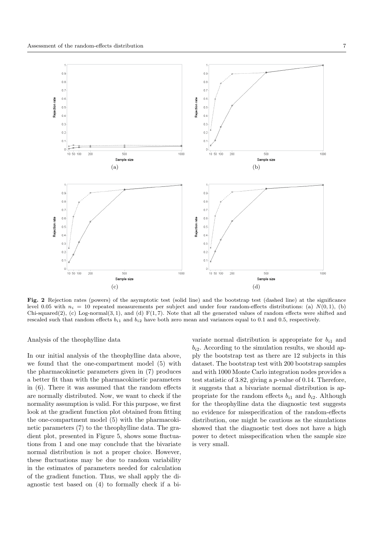

Fig. 2 Rejection rates (powers) of the asymptotic test (solid line) and the bootstrap test (dashed line) at the significance level 0.05 with  $n_i = 10$  repeated measurements per subject and under four random-effects distributions: (a)  $N(0, 1)$ , (b) Chi-squared(2), (c) Log-normal(3, 1), and (d)  $F(1, 7)$ . Note that all the generated values of random effects were shifted and rescaled such that random effects  $b_{i1}$  and  $b_{i2}$  have both zero mean and variances equal to 0.1 and 0.5, respectively.

Analysis of the theophylline data

In our initial analysis of the theophylline data above, we found that the one-compartment model (5) with the pharmacokinetic parameters given in (7) produces a better fit than with the pharmacokinetic parameters in (6). There it was assumed that the random effects are normally distributed. Now, we want to check if the normality assumption is valid. For this purpose, we first look at the gradient function plot obtained from fitting the one-compartment model (5) with the pharmacokinetic parameters (7) to the theophylline data. The gradient plot, presented in Figure 5, shows some fluctuations from 1 and one may conclude that the bivariate normal distribution is not a proper choice. However, these fluctuations may be due to random variability in the estimates of parameters needed for calculation of the gradient function. Thus, we shall apply the diagnostic test based on (4) to formally check if a bivariate normal distribution is appropriate for  $b_{i1}$  and  $b_{i2}$ . According to the simulation results, we should apply the bootstrap test as there are 12 subjects in this dataset. The bootstrap test with 200 bootstrap samples and with 1000 Monte Carlo integration nodes provides a test statistic of 3.82, giving a p-value of 0.14. Therefore, it suggests that a bivariate normal distribution is appropriate for the random effects  $b_{i1}$  and  $b_{i2}$ . Although for the theophylline data the diagnostic test suggests no evidence for misspecification of the random-effects distribution, one might be cautious as the simulations showed that the diagnostic test does not have a high power to detect misspecification when the sample size is very small.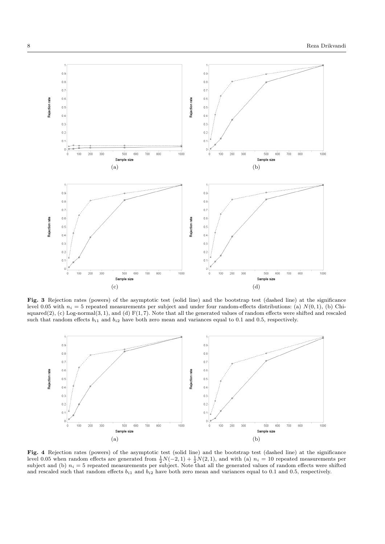

Fig. 3 Rejection rates (powers) of the asymptotic test (solid line) and the bootstrap test (dashed line) at the significance level 0.05 with  $n_i = 5$  repeated measurements per subject and under four random-effects distributions: (a)  $N(0, 1)$ , (b) Chisquared $(2)$ ,  $(c)$  Log-normal $(3, 1)$ , and  $(d)$   $F(1, 7)$ . Note that all the generated values of random effects were shifted and rescaled such that random effects  $b_{i1}$  and  $b_{i2}$  have both zero mean and variances equal to 0.1 and 0.5, respectively.



Fig. 4 Rejection rates (powers) of the asymptotic test (solid line) and the bootstrap test (dashed line) at the significance level 0.05 when random effects are generated from  $\frac{1}{2}N(-2,1) + \frac{1}{2}N(2,1)$ , and with (a)  $n_i = 10$  repeated measurements per subject and (b)  $n_i = 5$  repeated measurements per subject. Note that all the generated value and rescaled such that random effects  $b_{i1}$  and  $b_{i2}$  have both zero mean and variances equal to 0.1 and 0.5, respectively.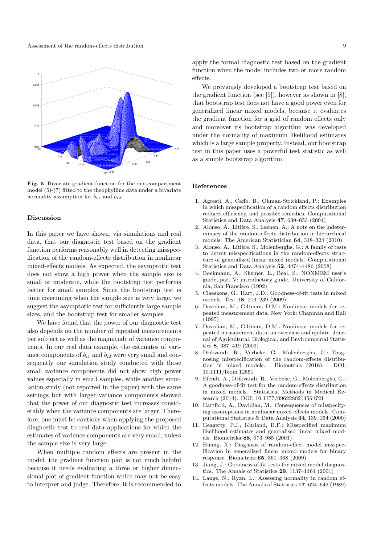

Fig. 5 Bivariate gradient function for the one-compartment model (5)-(7) fitted to the theophylline data under a bivariate normality assumption for  $b_{i1}$  and  $b_{i2}$ .

## Discussion

In this paper we have shown, via simulations and real data, that our diagnostic test based on the gradient function performs reasonably well in detecting misspecification of the random-effects distribution in nonlinear mixed-effects models. As expected, the asymptotic test does not show a high power when the sample size is small or moderate, while the bootstrap test performs better for small samples. Since the bootstrap test is time consuming when the sample size is very large, we suggest the asymptotic test for sufficiently large sample sizes, and the bootstrap test for smaller samples.

We have found that the power of our diagnostic test also depends on the number of repeated measurements per subject as well as the magnitude of variance components. In our real data example, the estimates of variance components of  $b_{i1}$  and  $b_{i2}$  were very small and consequently our simulation study conducted with those small variance components did not show high power values especially in small samples, while another simulation study (not reported in the paper) with the same settings but with larger variance components showed that the power of our diagnostic test increases considerably when the variance components are larger. Therefore, one must be cautious when applying the proposed diagnostic test to real data applications for which the estimates of variance components are very small, unless the sample size is very large.

When multiple random effects are present in the model, the gradient function plot is not much helpful because it needs evaluating a three or higher dimensional plot of gradient function which may not be easy to interpret and judge. Therefore, it is recommended to

apply the formal diagnostic test based on the gradient function when the model includes two or more random effects.

We previously developed a bootstrap test based on the gradient function (see [9]), however as shown in [8], that bootstrap test does not have a good power even for generalized linear mixed models, because it evaluates the gradient function for a grid of random effects only and moreover its bootstrap algorithm was developed under the normality of maximum likelihood estimates which is a large sample property. Instead, our bootstrap test in this paper uses a powerful test statistic as well as a simple bootstrap algorithm.

## References

- 1. Agresti, A., Caffo, B., Ohman-Strickland, P.: Examples in which misspecification of a random effects distribution reduces efficiency, and possible remedies. Computational Statistics and Data Analysis 47, 639–653 (2004)
- 2. Alonso, A., Litière, S., Laenen, A.: A note on the indeterminacy of the random-effects distribution in hierarchical models. The American Statistician 64, 318–324 (2010)
- 3. Alonso, A., Litière, S., Molenberghs, G.: A family of tests to detect misspecifications in the random-effects structure of generalized linear mixed models. Computational Statistics and Data Analysis 52, 4474–4486 (2008)
- 4. Boekmann, A., Sheiner, L., Beal, S.: NONMEM user's guide, part V: introductory guide. University of California, San Francisco (1992)
- 5. Claeskens, G., Hart, J.D.: Goodness-of-fit tests in mixed models. Test 18, 213–239 (2009)
- 6. Davidian, M., Giltinan, D.M.: Nonlinear models for repeated measurement data. New York: Chapman and Hall (1995)
- 7. Davidian, M., Giltinan, D.M.: Nonlinear models for repeated measurement data: an overview and update. Journal of Agricultural, Biological, and Environmental Statistics 8, 387–419 (2003)
- 8. Drikvandi, R., Verbeke, G., Molenberghs, G.: Diagnosing misspecification of the random-effects distribution in mixed models. Biometrics (2016). DOI: 10.1111/biom.12551
- 9. Efendi, A., Drikvandi, R., Verbeke, G., Molenberghs, G.: A goodness-of-fit test for the random-effects distribution in mixed models. Statistical Methods in Medical Research (2014). DOI: 10.1177/0962280214564721
- 10. Hartford, A., Davidian, M.: Consequences of misspecifying assumptions in nonlinear mixed effects models. Computational Statistics & Data Analysis 34, 139–164 (2000)
- 11. Heagerty, P.J., Kurland, B.F.: Misspecified maximum likelihood estimates and generalised linear mixed models. Biometrika 88, 973–985 (2001)
- 12. Huang, X.: Diagnosis of random-effect model misspecification in generalized linear mixed models for binary response. Biometrics 65, 361–368 (2009)
- 13. Jiang, J.: Goodness-of-fit tests for mixed model diagnostics. The Annals of Statistics 29, 1137–1164 (2001)
- 14. Lange, N., Ryan, L.: Assessing normality in random effects models. The Annals of Statistics 17, 624–642 (1989)